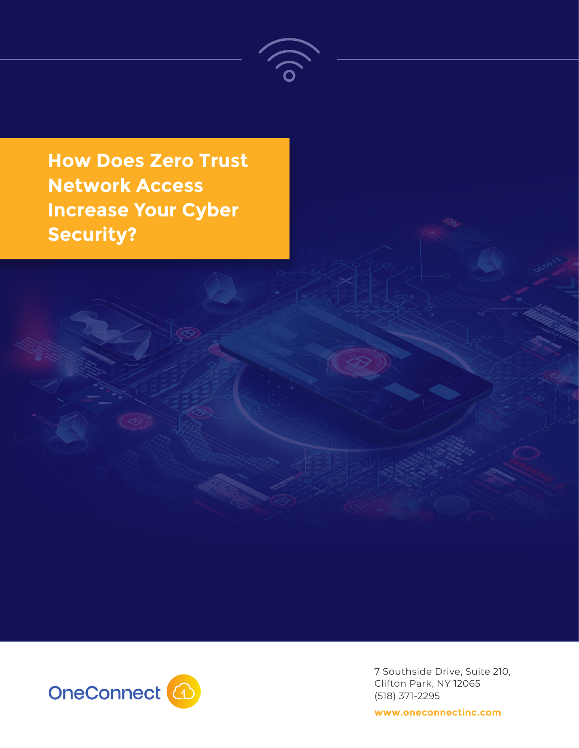

**How Does Zero Trust Network Access Increase Your Cyber Security?**



7 Southside Drive, Suite 210, Clifton Park, NY 12065 (518) 371-2295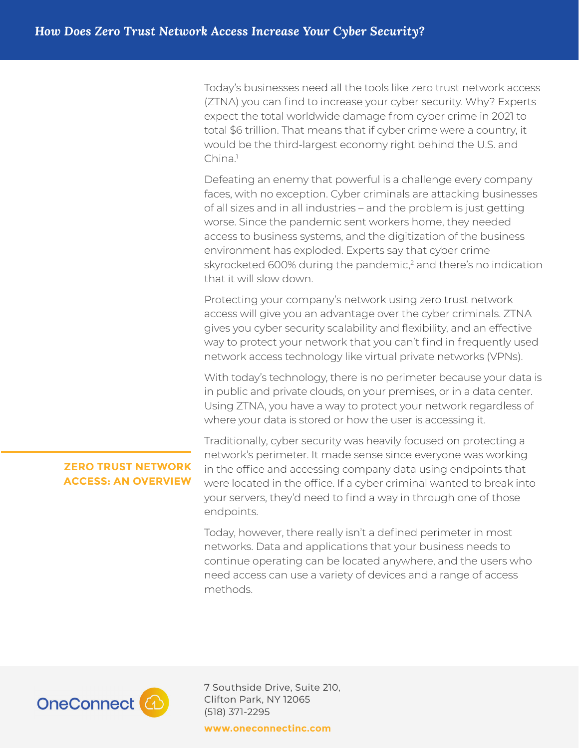Today's businesses need all the tools like zero trust network access (ZTNA) you can find to increase your cyber security. Why? Experts expect the total worldwide damage from cyber crime in 2021 to total \$6 trillion. That means that if cyber crime were a country, it would be the third-largest economy right behind the U.S. and China.<sup>1</sup>

Defeating an enemy that powerful is a challenge every company faces, with no exception. Cyber criminals are attacking businesses of all sizes and in all industries – and the problem is just getting worse. Since the pandemic sent workers home, they needed access to business systems, and the digitization of the business environment has exploded. Experts say that cyber crime skyrocketed 600% during the pandemic, $2$  and there's no indication that it will slow down.

Protecting your company's network using zero trust network access will give you an advantage over the cyber criminals. ZTNA gives you cyber security scalability and flexibility, and an effective way to protect your network that you can't find in frequently used network access technology like virtual private networks (VPNs).

With today's technology, there is no perimeter because your data is in public and private clouds, on your premises, or in a data center. Using ZTNA, you have a way to protect your network regardless of where your data is stored or how the user is accessing it.

## **ZERO TRUST NETWORK ACCESS: AN OVERVIEW**

Traditionally, cyber security was heavily focused on protecting a network's perimeter. It made sense since everyone was working in the office and accessing company data using endpoints that were located in the office. If a cyber criminal wanted to break into your servers, they'd need to find a way in through one of those endpoints.

Today, however, there really isn't a defined perimeter in most networks. Data and applications that your business needs to continue operating can be located anywhere, and the users who need access can use a variety of devices and a range of access methods.



7 Southside Drive, Suite 210, Clifton Park, NY 12065 (518) 371-2295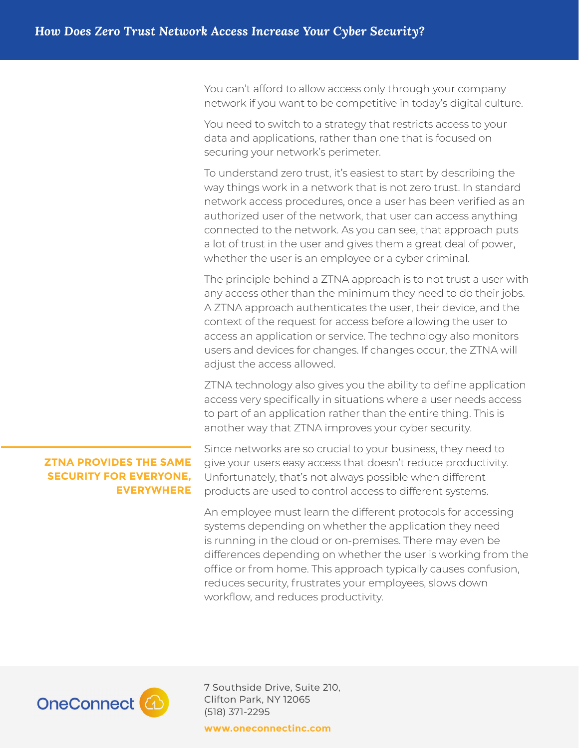You can't afford to allow access only through your company network if you want to be competitive in today's digital culture.

You need to switch to a strategy that restricts access to your data and applications, rather than one that is focused on securing your network's perimeter.

To understand zero trust, it's easiest to start by describing the way things work in a network that is not zero trust. In standard network access procedures, once a user has been verified as an authorized user of the network, that user can access anything connected to the network. As you can see, that approach puts a lot of trust in the user and gives them a great deal of power, whether the user is an employee or a cyber criminal.

The principle behind a ZTNA approach is to not trust a user with any access other than the minimum they need to do their jobs. A ZTNA approach authenticates the user, their device, and the context of the request for access before allowing the user to access an application or service. The technology also monitors users and devices for changes. If changes occur, the ZTNA will adjust the access allowed.

ZTNA technology also gives you the ability to define application access very specifically in situations where a user needs access to part of an application rather than the entire thing. This is another way that ZTNA improves your cyber security.

### **ZTNA PROVIDES THE SAME SECURITY FOR EVERYONE, EVERYWHERE**

Since networks are so crucial to your business, they need to give your users easy access that doesn't reduce productivity. Unfortunately, that's not always possible when different products are used to control access to different systems.

An employee must learn the different protocols for accessing systems depending on whether the application they need is running in the cloud or on-premises. There may even be differences depending on whether the user is working from the office or from home. This approach typically causes confusion, reduces security, frustrates your employees, slows down workflow, and reduces productivity.



7 Southside Drive, Suite 210, Clifton Park, NY 12065 (518) 371-2295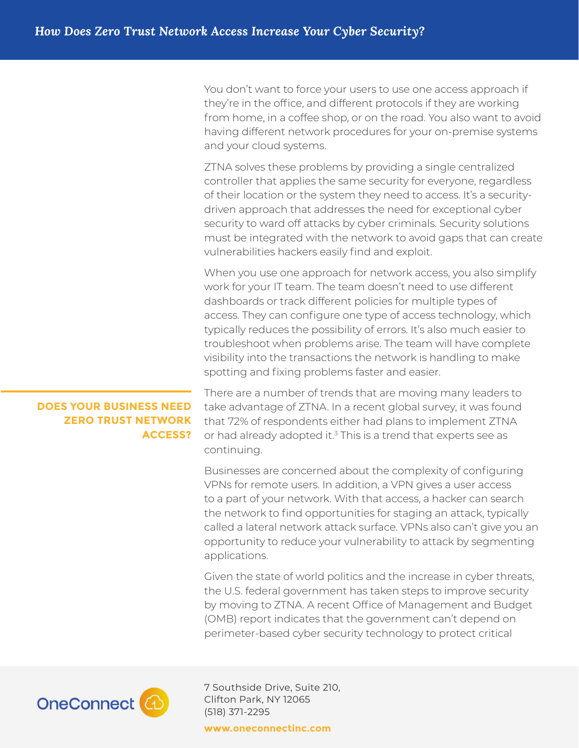You don't want to force your users to use one access approach if they're in the office, and different protocols if they are working from home, in a coffee shop, or on the road. You also want to avoid having different network procedures for your on-premise systems and your cloud systems.

ZTNA solves these problems by providing a single centralized controller that applies the same security for everyone, regardless of their location or the system they need to access. It's a securitydriven approach that addresses the need for exceptional cyber security to ward off attacks by cyber criminals. Security solutions must be integrated with the network to avoid gaps that can create vulnerabilities hackers easily find and exploit.

When you use one approach for network access, you also simplify work for your IT team. The team doesn't need to use different dashboards or track different policies for multiple types of access. They can configure one type of access technology, which typically reduces the possibility of errors. It's also much easier to troubleshoot when problems arise. The team will have complete visibility into the transactions the network is handling to make spotting and fixing problems faster and easier.

### **DOES YOUR BUSINESS NEED ZERO TRUST NETWORK ACCESS?**

There are a number of trends that are moving many leaders to take advantage of ZTNA. In a recent global survey, it was found that 72% of respondents either had plans to implement ZTNA or had already adopted it. $3$  This is a trend that experts see as continuing.

Businesses are concerned about the complexity of configuring VPNs for remote users. In addition, a VPN gives a user access to a part of your network. With that access, a hacker can search the network to find opportunities for staging an attack, typically called a lateral network attack surface. VPNs also can't give you an opportunity to reduce your vulnerability to attack by segmenting applications.

Given the state of world politics and the increase in cyber threats, the U.S. federal government has taken steps to improve security by moving to ZTNA. A recent Office of Management and Budget (OMB) report indicates that the government can't depend on perimeter-based cyber security technology to protect critical



7 Southside Drive, Suite 210, Clifton Park, NY 12065 (518) 371-2295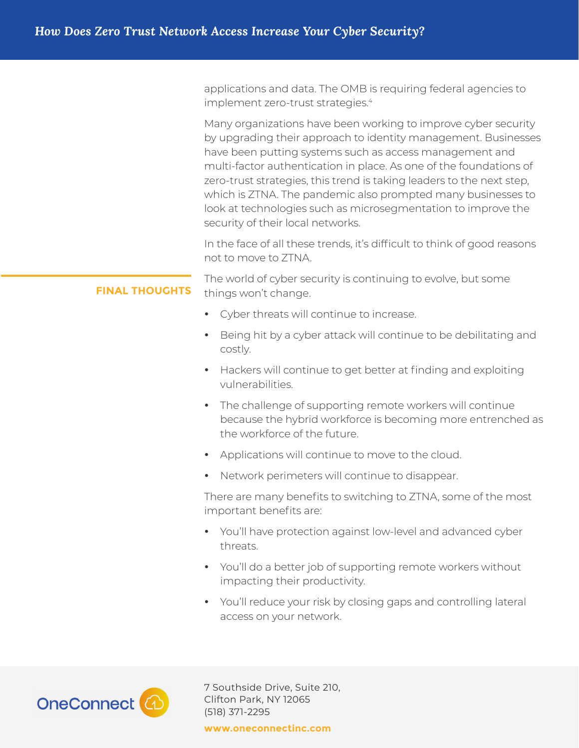|                       | applications and data. The OMB is requiring federal agencies to<br>implement zero-trust strategies. <sup>4</sup>                                                                                                                                                                                                                                                                                                                                                                                                 |
|-----------------------|------------------------------------------------------------------------------------------------------------------------------------------------------------------------------------------------------------------------------------------------------------------------------------------------------------------------------------------------------------------------------------------------------------------------------------------------------------------------------------------------------------------|
|                       | Many organizations have been working to improve cyber security<br>by upgrading their approach to identity management. Businesses<br>have been putting systems such as access management and<br>multi-factor authentication in place. As one of the foundations of<br>zero-trust strategies, this trend is taking leaders to the next step,<br>which is ZTNA. The pandemic also prompted many businesses to<br>look at technologies such as microsegmentation to improve the<br>security of their local networks. |
|                       | In the face of all these trends, it's difficult to think of good reasons<br>not to move to ZTNA.                                                                                                                                                                                                                                                                                                                                                                                                                 |
| <b>FINAL THOUGHTS</b> | The world of cyber security is continuing to evolve, but some<br>things won't change.                                                                                                                                                                                                                                                                                                                                                                                                                            |
|                       | Cyber threats will continue to increase.<br>$\bullet$                                                                                                                                                                                                                                                                                                                                                                                                                                                            |
|                       | Being hit by a cyber attack will continue to be debilitating and<br>$\bullet$<br>costly.                                                                                                                                                                                                                                                                                                                                                                                                                         |
|                       | Hackers will continue to get better at finding and exploiting<br>$\bullet$<br>vulnerabilities.                                                                                                                                                                                                                                                                                                                                                                                                                   |
|                       | The challenge of supporting remote workers will continue<br>$\bullet$<br>because the hybrid workforce is becoming more entrenched as<br>the workforce of the future.                                                                                                                                                                                                                                                                                                                                             |
|                       | Applications will continue to move to the cloud.<br>$\bullet$                                                                                                                                                                                                                                                                                                                                                                                                                                                    |
|                       | Network perimeters will continue to disappear.<br>$\bullet$                                                                                                                                                                                                                                                                                                                                                                                                                                                      |
|                       | There are many benefits to switching to ZTNA, some of the most<br>important benefits are:                                                                                                                                                                                                                                                                                                                                                                                                                        |
|                       | You'll have protection against low-level and advanced cyber<br>$\bullet$<br>threats.                                                                                                                                                                                                                                                                                                                                                                                                                             |
|                       | You'll do a better job of supporting remote workers without<br>$\bullet$<br>impacting their productivity.                                                                                                                                                                                                                                                                                                                                                                                                        |
|                       | You'll reduce your risk by closing gaps and controlling lateral<br>$\bullet$<br>access on your network.                                                                                                                                                                                                                                                                                                                                                                                                          |
|                       |                                                                                                                                                                                                                                                                                                                                                                                                                                                                                                                  |



7 Southside Drive, Suite 210, Clifton Park, NY 12065 (518) 371-2295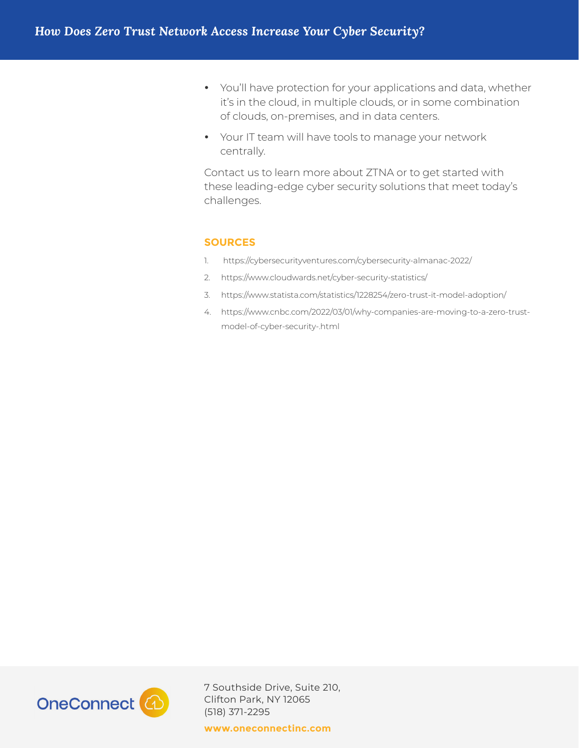- You'll have protection for your applications and data, whether it's in the cloud, in multiple clouds, or in some combination of clouds, on-premises, and in data centers.
- Your IT team will have tools to manage your network centrally.

Contact us to learn more about ZTNA or to get started with these leading-edge cyber security solutions that meet today's challenges.

#### **SOURCES**

- 1. https://cybersecurityventures.com/cybersecurity-almanac-2022/
- 2. https://www.cloudwards.net/cyber-security-statistics/
- 3. https://www.statista.com/statistics/1228254/zero-trust-it-model-adoption/
- 4. https://www.cnbc.com/2022/03/01/why-companies-are-moving-to-a-zero-trustmodel-of-cyber-security-.html



7 Southside Drive, Suite 210, Clifton Park, NY 12065 (518) 371-2295